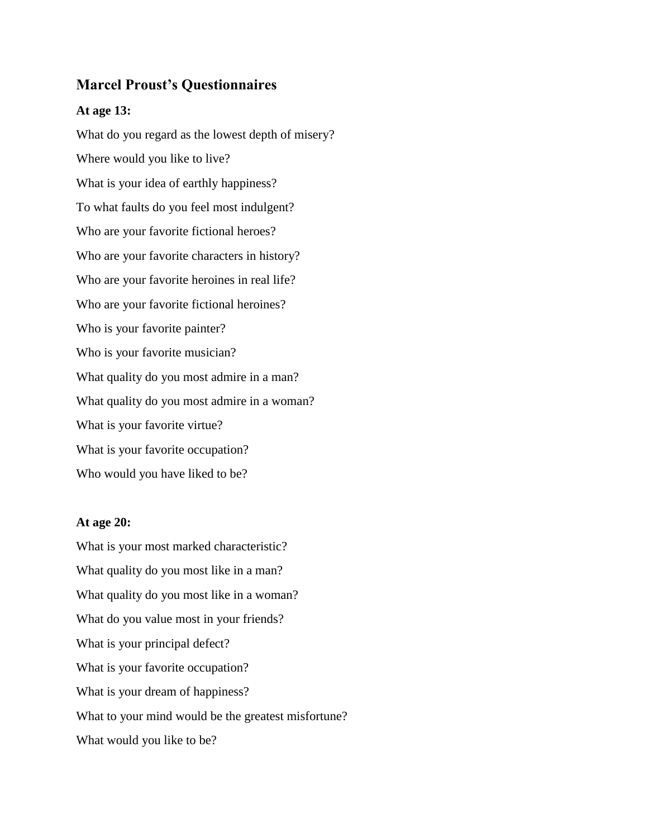## **Marcel Proust's Questionnaires**

## **At age 13:**

What do you regard as the lowest depth of misery? Where would you like to live? What is your idea of earthly happiness? To what faults do you feel most indulgent? Who are your favorite fictional heroes? Who are your favorite characters in history? Who are your favorite heroines in real life? Who are your favorite fictional heroines? Who is your favorite painter? Who is your favorite musician? What quality do you most admire in a man? What quality do you most admire in a woman? What is your favorite virtue? What is your favorite occupation? Who would you have liked to be?

## **At age 20:**

What is your most marked characteristic? What quality do you most like in a man? What quality do you most like in a woman? What do you value most in your friends? What is your principal defect? What is your favorite occupation? What is your dream of happiness? What to your mind would be the greatest misfortune? What would you like to be?